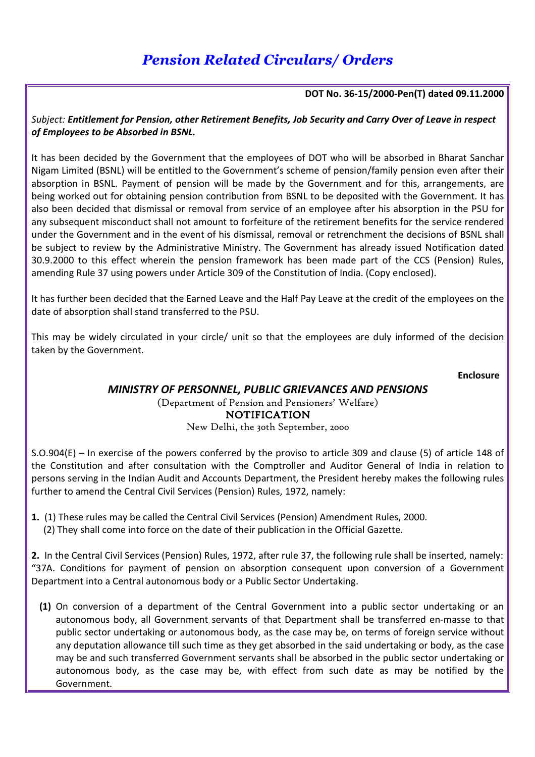# *Pension Related Circulars/ Orders*

#### **DOT No. 36-15/2000-Pen(T) dated 09.11.2000**

*Subject: Entitlement for Pension, other Retirement Benefits, Job Security and Carry Over of Leave in respect of Employees to be Absorbed in BSNL.* 

It has been decided by the Government that the employees of DOT who will be absorbed in Bharat Sanchar Nigam Limited (BSNL) will be entitled to the Government's scheme of pension/family pension even after their absorption in BSNL. Payment of pension will be made by the Government and for this, arrangements, are being worked out for obtaining pension contribution from BSNL to be deposited with the Government. It has also been decided that dismissal or removal from service of an employee after his absorption in the PSU for any subsequent misconduct shall not amount to forfeiture of the retirement benefits for the service rendered under the Government and in the event of his dismissal, removal or retrenchment the decisions of BSNL shall be subject to review by the Administrative Ministry. The Government has already issued Notification dated 30.9.2000 to this effect wherein the pension framework has been made part of the CCS (Pension) Rules, amending Rule 37 using powers under Article 309 of the Constitution of India. (Copy enclosed).

It has further been decided that the Earned Leave and the Half Pay Leave at the credit of the employees on the date of absorption shall stand transferred to the PSU.

This may be widely circulated in your circle/ unit so that the employees are duly informed of the decision taken by the Government.

 **Enclosure** 

## *MINISTRY OF PERSONNEL, PUBLIC GRIEVANCES AND PENSIONS*

(Department of Pension and Pensioners' Welfare) NOTIFICATION New Delhi, the 30th September, 2000

S.O.904(E) – In exercise of the powers conferred by the proviso to article 309 and clause (5) of article 148 of the Constitution and after consultation with the Comptroller and Auditor General of India in relation to persons serving in the Indian Audit and Accounts Department, the President hereby makes the following rules further to amend the Central Civil Services (Pension) Rules, 1972, namely:

**1.** (1) These rules may be called the Central Civil Services (Pension) Amendment Rules, 2000. (2) They shall come into force on the date of their publication in the Official Gazette.

**2.** In the Central Civil Services (Pension) Rules, 1972, after rule 37, the following rule shall be inserted, namely: "37A. Conditions for payment of pension on absorption consequent upon conversion of a Government Department into a Central autonomous body or a Public Sector Undertaking.

**(1)** On conversion of a department of the Central Government into a public sector undertaking or an autonomous body, all Government servants of that Department shall be transferred en-masse to that public sector undertaking or autonomous body, as the case may be, on terms of foreign service without any deputation allowance till such time as they get absorbed in the said undertaking or body, as the case may be and such transferred Government servants shall be absorbed in the public sector undertaking or autonomous body, as the case may be, with effect from such date as may be notified by the Government.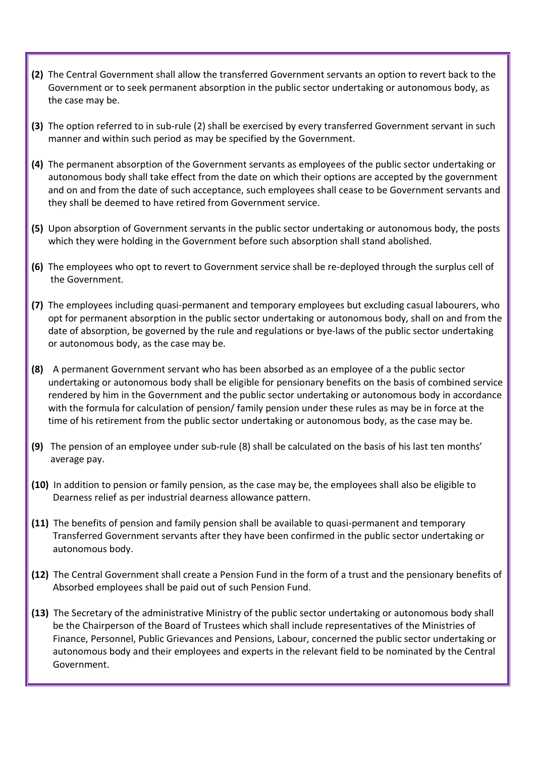- **(2)** The Central Government shall allow the transferred Government servants an option to revert back to the Government or to seek permanent absorption in the public sector undertaking or autonomous body, as the case may be.
- **(3)** The option referred to in sub-rule (2) shall be exercised by every transferred Government servant in such manner and within such period as may be specified by the Government.
- **(4)** The permanent absorption of the Government servants as employees of the public sector undertaking or autonomous body shall take effect from the date on which their options are accepted by the government and on and from the date of such acceptance, such employees shall cease to be Government servants and they shall be deemed to have retired from Government service.
- **(5)** Upon absorption of Government servants in the public sector undertaking or autonomous body, the posts which they were holding in the Government before such absorption shall stand abolished.
- **(6)** The employees who opt to revert to Government service shall be re-deployed through the surplus cell of the Government.
- **(7)** The employees including quasi-permanent and temporary employees but excluding casual labourers, who opt for permanent absorption in the public sector undertaking or autonomous body, shall on and from the date of absorption, be governed by the rule and regulations or bye-laws of the public sector undertaking or autonomous body, as the case may be.
- **(8)** A permanent Government servant who has been absorbed as an employee of a the public sector undertaking or autonomous body shall be eligible for pensionary benefits on the basis of combined service rendered by him in the Government and the public sector undertaking or autonomous body in accordance with the formula for calculation of pension/ family pension under these rules as may be in force at the time of his retirement from the public sector undertaking or autonomous body, as the case may be.
- **(9)** The pension of an employee under sub-rule (8) shall be calculated on the basis of his last ten months' average pay.
- **(10)** In addition to pension or family pension, as the case may be, the employees shall also be eligible to Dearness relief as per industrial dearness allowance pattern.
- **(11)** The benefits of pension and family pension shall be available to quasi-permanent and temporary Transferred Government servants after they have been confirmed in the public sector undertaking or autonomous body.
- **(12)** The Central Government shall create a Pension Fund in the form of a trust and the pensionary benefits of Absorbed employees shall be paid out of such Pension Fund.
- **(13)** The Secretary of the administrative Ministry of the public sector undertaking or autonomous body shall be the Chairperson of the Board of Trustees which shall include representatives of the Ministries of Finance, Personnel, Public Grievances and Pensions, Labour, concerned the public sector undertaking or autonomous body and their employees and experts in the relevant field to be nominated by the Central Government.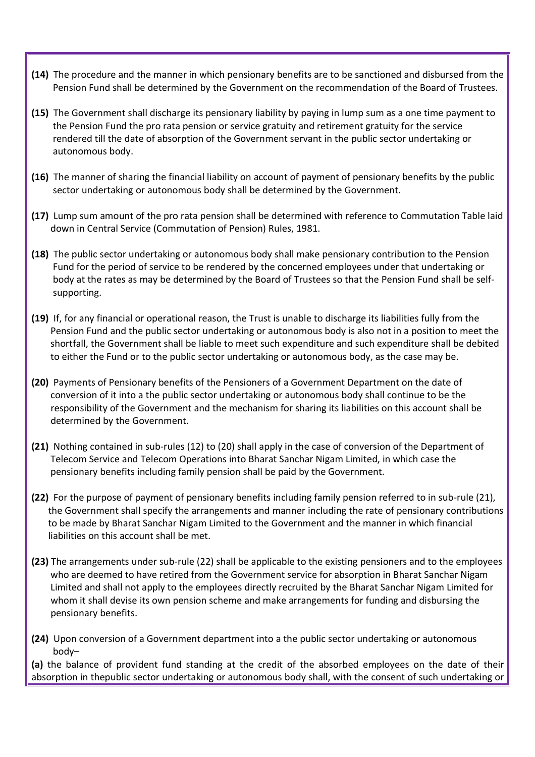- **(14)** The procedure and the manner in which pensionary benefits are to be sanctioned and disbursed from the Pension Fund shall be determined by the Government on the recommendation of the Board of Trustees.
- **(15)** The Government shall discharge its pensionary liability by paying in lump sum as a one time payment to the Pension Fund the pro rata pension or service gratuity and retirement gratuity for the service rendered till the date of absorption of the Government servant in the public sector undertaking or autonomous body.
- **(16)** The manner of sharing the financial liability on account of payment of pensionary benefits by the public sector undertaking or autonomous body shall be determined by the Government.
- **(17)** Lump sum amount of the pro rata pension shall be determined with reference to Commutation Table laid down in Central Service (Commutation of Pension) Rules, 1981.
- **(18)** The public sector undertaking or autonomous body shall make pensionary contribution to the Pension Fund for the period of service to be rendered by the concerned employees under that undertaking or body at the rates as may be determined by the Board of Trustees so that the Pension Fund shall be self supporting.
- **(19)** If, for any financial or operational reason, the Trust is unable to discharge its liabilities fully from the Pension Fund and the public sector undertaking or autonomous body is also not in a position to meet the shortfall, the Government shall be liable to meet such expenditure and such expenditure shall be debited to either the Fund or to the public sector undertaking or autonomous body, as the case may be.
- **(20)** Payments of Pensionary benefits of the Pensioners of a Government Department on the date of conversion of it into a the public sector undertaking or autonomous body shall continue to be the responsibility of the Government and the mechanism for sharing its liabilities on this account shall be determined by the Government.
- **(21)** Nothing contained in sub-rules (12) to (20) shall apply in the case of conversion of the Department of Telecom Service and Telecom Operations into Bharat Sanchar Nigam Limited, in which case the pensionary benefits including family pension shall be paid by the Government.
- **(22)** For the purpose of payment of pensionary benefits including family pension referred to in sub-rule (21), the Government shall specify the arrangements and manner including the rate of pensionary contributions to be made by Bharat Sanchar Nigam Limited to the Government and the manner in which financial liabilities on this account shall be met.
- **(23)** The arrangements under sub-rule (22) shall be applicable to the existing pensioners and to the employees who are deemed to have retired from the Government service for absorption in Bharat Sanchar Nigam Limited and shall not apply to the employees directly recruited by the Bharat Sanchar Nigam Limited for whom it shall devise its own pension scheme and make arrangements for funding and disbursing the pensionary benefits.
- **(24)** Upon conversion of a Government department into a the public sector undertaking or autonomous body–

**(a)** the balance of provident fund standing at the credit of the absorbed employees on the date of their absorption in thepublic sector undertaking or autonomous body shall, with the consent of such undertaking or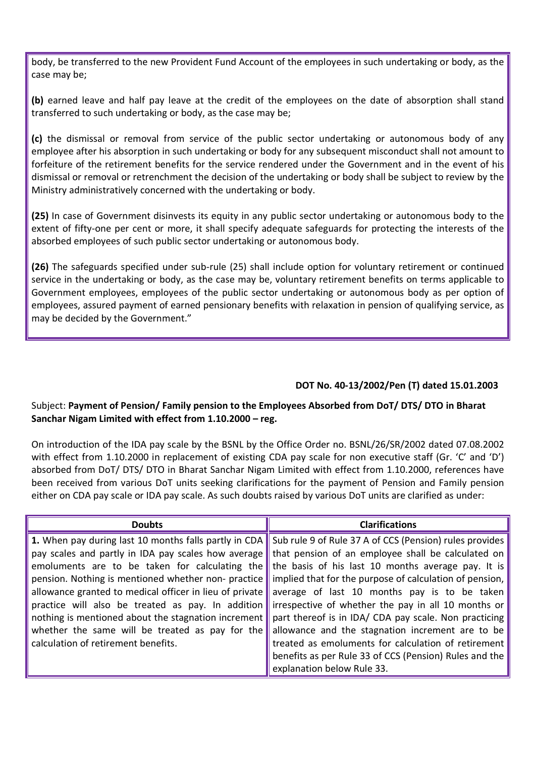body, be transferred to the new Provident Fund Account of the employees in such undertaking or body, as the case may be;

**(b)** earned leave and half pay leave at the credit of the employees on the date of absorption shall stand transferred to such undertaking or body, as the case may be;

**(c)** the dismissal or removal from service of the public sector undertaking or autonomous body of any employee after his absorption in such undertaking or body for any subsequent misconduct shall not amount to forfeiture of the retirement benefits for the service rendered under the Government and in the event of his dismissal or removal or retrenchment the decision of the undertaking or body shall be subject to review by the Ministry administratively concerned with the undertaking or body.

**(25)** In case of Government disinvests its equity in any public sector undertaking or autonomous body to the extent of fifty-one per cent or more, it shall specify adequate safeguards for protecting the interests of the absorbed employees of such public sector undertaking or autonomous body.

**(26)** The safeguards specified under sub-rule (25) shall include option for voluntary retirement or continued service in the undertaking or body, as the case may be, voluntary retirement benefits on terms applicable to Government employees, employees of the public sector undertaking or autonomous body as per option of employees, assured payment of earned pensionary benefits with relaxation in pension of qualifying service, as may be decided by the Government."

## **DOT No. 40-13/2002/Pen (T) dated 15.01.2003**

## Subject: **Payment of Pension/ Family pension to the Employees Absorbed from DoT/ DTS/ DTO in Bharat Sanchar Nigam Limited with effect from 1.10.2000 – reg.**

On introduction of the IDA pay scale by the BSNL by the Office Order no. BSNL/26/SR/2002 dated 07.08.2002 with effect from 1.10.2000 in replacement of existing CDA pay scale for non executive staff (Gr. 'C' and 'D') absorbed from DoT/ DTS/ DTO in Bharat Sanchar Nigam Limited with effect from 1.10.2000, references have been received from various DoT units seeking clarifications for the payment of Pension and Family pension either on CDA pay scale or IDA pay scale. As such doubts raised by various DoT units are clarified as under:

| <b>Doubts</b>                                           | <b>Clarifications</b>                                   |
|---------------------------------------------------------|---------------------------------------------------------|
| 1. When pay during last 10 months falls partly in CDA   | Sub rule 9 of Rule 37 A of CCS (Pension) rules provides |
| pay scales and partly in IDA pay scales how average     | that pension of an employee shall be calculated on      |
| emoluments are to be taken for calculating the          | the basis of his last 10 months average pay. It is      |
| pension. Nothing is mentioned whether non-practice      | implied that for the purpose of calculation of pension, |
| allowance granted to medical officer in lieu of private | average of last 10 months pay is to be taken            |
| practice will also be treated as pay. In addition       | irrespective of whether the pay in all 10 months or     |
| nothing is mentioned about the stagnation increment     | part thereof is in IDA/ CDA pay scale. Non practicing   |
| whether the same will be treated as pay for the         | allowance and the stagnation increment are to be        |
| calculation of retirement benefits.                     | treated as emoluments for calculation of retirement     |
|                                                         | benefits as per Rule 33 of CCS (Pension) Rules and the  |
|                                                         | explanation below Rule 33.                              |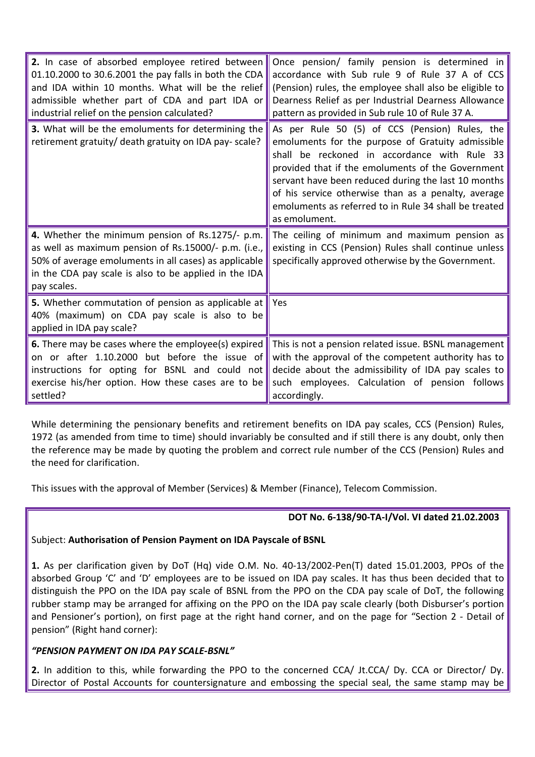| 2. In case of absorbed employee retired between<br>01.10.2000 to 30.6.2001 the pay falls in both the CDA<br>and IDA within 10 months. What will be the relief<br>admissible whether part of CDA and part IDA or<br>industrial relief on the pension calculated? | Once pension/ family pension is determined in<br>accordance with Sub rule 9 of Rule 37 A of CCS<br>(Pension) rules, the employee shall also be eligible to<br>Dearness Relief as per Industrial Dearness Allowance<br>pattern as provided in Sub rule 10 of Rule 37 A.                                                                                                                           |
|-----------------------------------------------------------------------------------------------------------------------------------------------------------------------------------------------------------------------------------------------------------------|--------------------------------------------------------------------------------------------------------------------------------------------------------------------------------------------------------------------------------------------------------------------------------------------------------------------------------------------------------------------------------------------------|
| 3. What will be the emoluments for determining the<br>retirement gratuity/ death gratuity on IDA pay- scale?                                                                                                                                                    | As per Rule 50 (5) of CCS (Pension) Rules, the<br>emoluments for the purpose of Gratuity admissible<br>shall be reckoned in accordance with Rule 33<br>provided that if the emoluments of the Government<br>servant have been reduced during the last 10 months<br>of his service otherwise than as a penalty, average<br>emoluments as referred to in Rule 34 shall be treated<br>as emolument. |
| 4. Whether the minimum pension of Rs.1275/- p.m.<br>as well as maximum pension of Rs.15000/- p.m. (i.e.,<br>50% of average emoluments in all cases) as applicable<br>in the CDA pay scale is also to be applied in the IDA<br>pay scales.                       | The ceiling of minimum and maximum pension as<br>existing in CCS (Pension) Rules shall continue unless<br>specifically approved otherwise by the Government.                                                                                                                                                                                                                                     |
| 5. Whether commutation of pension as applicable at<br>40% (maximum) on CDA pay scale is also to be<br>applied in IDA pay scale?                                                                                                                                 | Yes                                                                                                                                                                                                                                                                                                                                                                                              |
| 6. There may be cases where the employee(s) expired<br>on or after 1.10.2000 but before the issue of<br>instructions for opting for BSNL and could not<br>exercise his/her option. How these cases are to be<br>settled?                                        | This is not a pension related issue. BSNL management<br>with the approval of the competent authority has to<br>decide about the admissibility of IDA pay scales to<br>such employees. Calculation of pension follows<br>accordingly.                                                                                                                                                             |

While determining the pensionary benefits and retirement benefits on IDA pay scales, CCS (Pension) Rules, 1972 (as amended from time to time) should invariably be consulted and if still there is any doubt, only then the reference may be made by quoting the problem and correct rule number of the CCS (Pension) Rules and the need for clarification.

This issues with the approval of Member (Services) & Member (Finance), Telecom Commission.

## **DOT No. 6-138/90-TA-I/Vol. VI dated 21.02.2003**

#### Subject: **Authorisation of Pension Payment on IDA Payscale of BSNL**

**1.** As per clarification given by DoT (Hq) vide O.M. No. 40-13/2002-Pen(T) dated 15.01.2003, PPOs of the absorbed Group 'C' and 'D' employees are to be issued on IDA pay scales. It has thus been decided that to distinguish the PPO on the IDA pay scale of BSNL from the PPO on the CDA pay scale of DoT, the following rubber stamp may be arranged for affixing on the PPO on the IDA pay scale clearly (both Disburser's portion and Pensioner's portion), on first page at the right hand corner, and on the page for "Section 2 - Detail of pension" (Right hand corner):

## *"PENSION PAYMENT ON IDA PAY SCALE-BSNL"*

**2.** In addition to this, while forwarding the PPO to the concerned CCA/ Jt.CCA/ Dy. CCA or Director/ Dy. Director of Postal Accounts for countersignature and embossing the special seal, the same stamp may be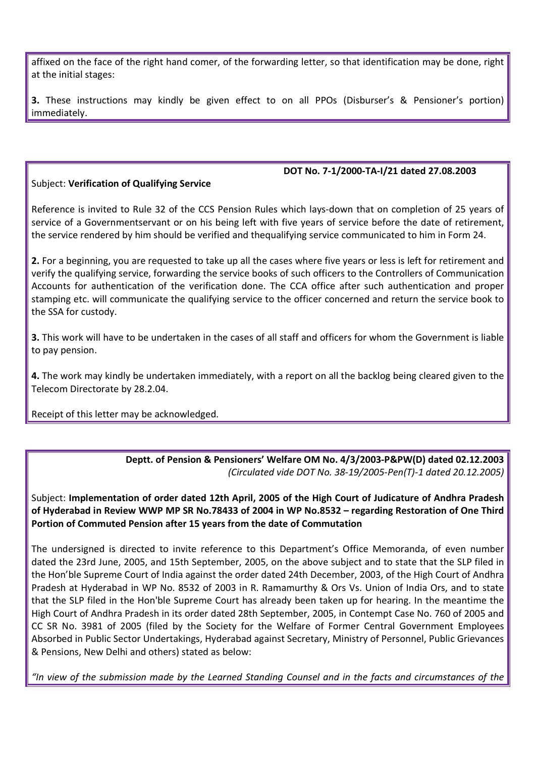affixed on the face of the right hand comer, of the forwarding letter, so that identification may be done, right at the initial stages:

**3.** These instructions may kindly be given effect to on all PPOs (Disburser's & Pensioner's portion) immediately.

# Subject: **Verification of Qualifying Service**

#### **DOT No. 7-1/2000-TA-I/21 dated 27.08.2003**

Reference is invited to Rule 32 of the CCS Pension Rules which lays-down that on completion of 25 years of service of a Governmentservant or on his being left with five years of service before the date of retirement, the service rendered by him should be verified and thequalifying service communicated to him in Form 24.

**2.** For a beginning, you are requested to take up all the cases where five years or less is left for retirement and verify the qualifying service, forwarding the service books of such officers to the Controllers of Communication Accounts for authentication of the verification done. The CCA office after such authentication and proper stamping etc. will communicate the qualifying service to the officer concerned and return the service book to the SSA for custody.

**3.** This work will have to be undertaken in the cases of all staff and officers for whom the Government is liable to pay pension.

**4.** The work may kindly be undertaken immediately, with a report on all the backlog being cleared given to the Telecom Directorate by 28.2.04.

Receipt of this letter may be acknowledged.

**Deptt. of Pension & Pensioners' Welfare OM No. 4/3/2003-P&PW(D) dated 02.12.2003** *(Circulated vide DOT No. 38-19/2005-Pen(T)-1 dated 20.12.2005)*

Subject: **Implementation of order dated 12th April, 2005 of the High Court of Judicature of Andhra Pradesh of Hyderabad in Review WWP MP SR No.78433 of 2004 in WP No.8532 – regarding Restoration of One Third Portion of Commuted Pension after 15 years from the date of Commutation** 

The undersigned is directed to invite reference to this Department's Office Memoranda, of even number dated the 23rd June, 2005, and 15th September, 2005, on the above subject and to state that the SLP filed in the Hon'ble Supreme Court of India against the order dated 24th December, 2003, of the High Court of Andhra Pradesh at Hyderabad in WP No. 8532 of 2003 in R. Ramamurthy & Ors Vs. Union of India Ors, and to state that the SLP filed in the Hon'ble Supreme Court has already been taken up for hearing. In the meantime the High Court of Andhra Pradesh in its order dated 28th September, 2005, in Contempt Case No. 760 of 2005 and CC SR No. 3981 of 2005 (filed by the Society for the Welfare of Former Central Government Employees Absorbed in Public Sector Undertakings, Hyderabad against Secretary, Ministry of Personnel, Public Grievances & Pensions, New Delhi and others) stated as below:

*"In view of the submission made by the Learned Standing Counsel and in the facts and circumstances of the*